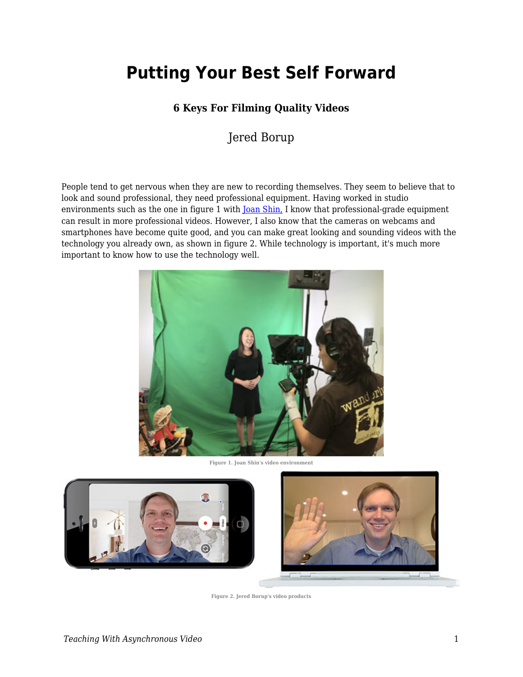# **Putting Your Best Self Forward**

#### **6 Keys For Filming Quality Videos**

Jered Borup

People tend to get nervous when they are new to recording themselves. They seem to believe that to look and sound professional, they need professional equipment. Having worked in studio environments such as the one in figure 1 with <u>Joan Shin,</u> I know that professional-grade equipment can result in more professional videos. However, I also know that the cameras on webcams and smartphones have become quite good, and you can make great looking and sounding videos with the technology you already own, as shown in figure 2. While technology is important, it's much more important to know how to use the technology well.



**Figure 1. Joan Shin's video environment**



**Figure 2. Jered Borup's video products**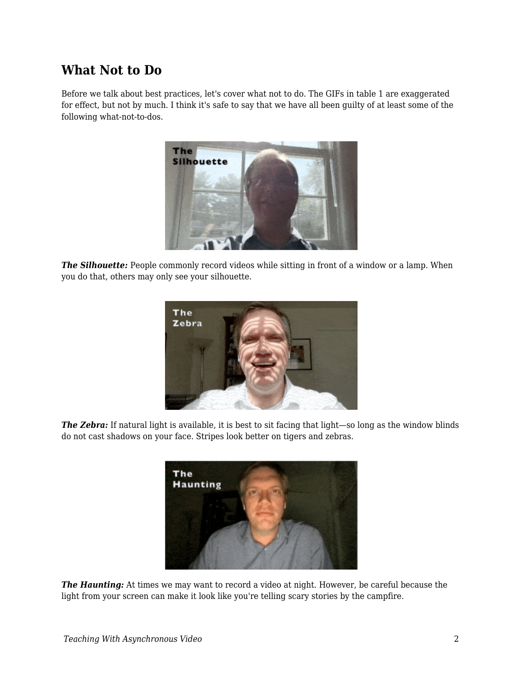### **What Not to Do**

Before we talk about best practices, let's cover what not to do. The GIFs in table 1 are exaggerated for effect, but not by much. I think it's safe to say that we have all been guilty of at least some of the following what-not-to-dos.



*The Silhouette:* People commonly record videos while sitting in front of a window or a lamp. When you do that, others may only see your silhouette.



*The Zebra:* If natural light is available, it is best to sit facing that light—so long as the window blinds do not cast shadows on your face. Stripes look better on tigers and zebras.



*The Haunting:* At times we may want to record a video at night. However, be careful because the light from your screen can make it look like you're telling scary stories by the campfire.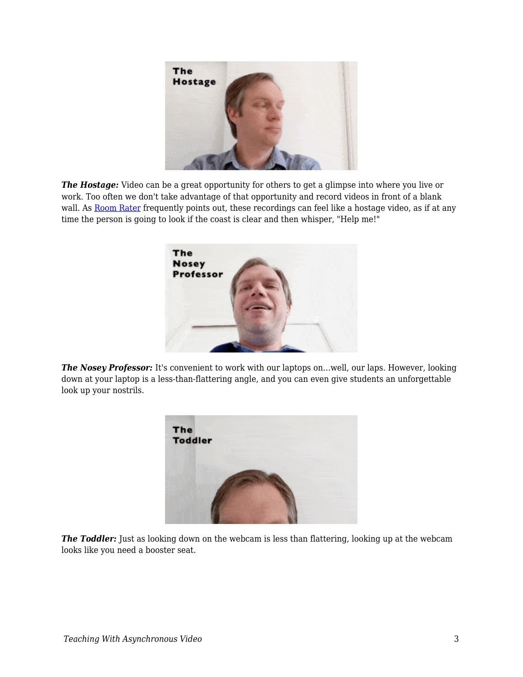

*The Hostage:* Video can be a great opportunity for others to get a glimpse into where you live or work. Too often we don't take advantage of that opportunity and record videos in front of a blank wall. As [Room Rater](https://twitter.com/ratemyskyperoom) frequently points out, these recordings can feel like a hostage video, as if at any time the person is going to look if the coast is clear and then whisper, "Help me!"



*The Nosey Professor:* It's convenient to work with our laptops on...well, our laps. However, looking down at your laptop is a less-than-flattering angle, and you can even give students an unforgettable look up your nostrils.



**The Toddler:** Just as looking down on the webcam is less than flattering, looking up at the webcam looks like you need a booster seat.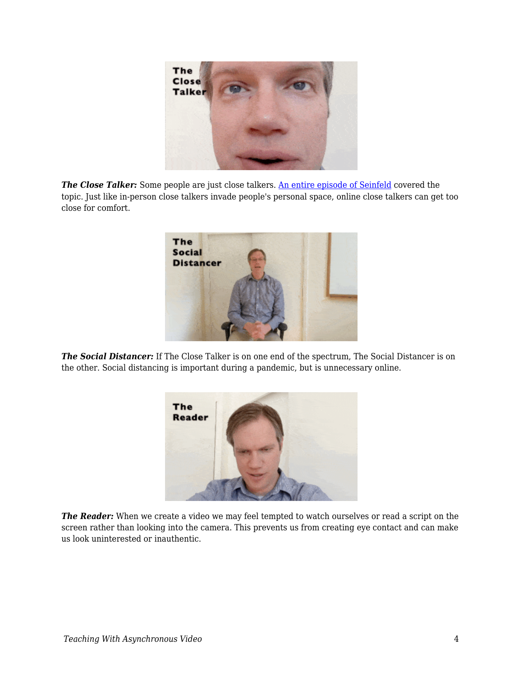

**The Close Talker:** Some people are just close talkers. [An entire episode of Seinfeld](https://youtu.be/sRZ5RpsytRA?t=19) covered the topic. Just like in-person close talkers invade people's personal space, online close talkers can get too close for comfort.



*The Social Distancer:* If The Close Talker is on one end of the spectrum, The Social Distancer is on the other. Social distancing is important during a pandemic, but is unnecessary online.



*The Reader:* When we create a video we may feel tempted to watch ourselves or read a script on the screen rather than looking into the camera. This prevents us from creating eye contact and can make us look uninterested or inauthentic.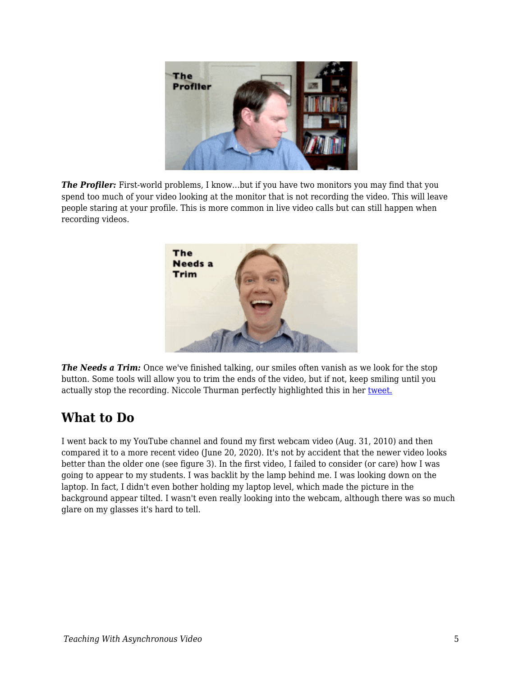

**The Profiler:** First-world problems, I know...but if you have two monitors you may find that you spend too much of your video looking at the monitor that is not recording the video. This will leave people staring at your profile. This is more common in live video calls but can still happen when recording videos.



*The Needs a Trim:* Once we've finished talking, our smiles often vanish as we look for the stop button. Some tools will allow you to trim the ends of the video, but if not, keep smiling until you actually stop the recording. Niccole Thurman perfectly highlighted this in her [tweet.](https://twitter.com/niccolethurman/status/1157427983042269184)

### **What to Do**

I went back to my YouTube channel and found my first webcam video (Aug. 31, 2010) and then compared it to a more recent video (June 20, 2020). It's not by accident that the newer video looks better than the older one (see figure 3). In the first video, I failed to consider (or care) how I was going to appear to my students. I was backlit by the lamp behind me. I was looking down on the laptop. In fact, I didn't even bother holding my laptop level, which made the picture in the background appear tilted. I wasn't even really looking into the webcam, although there was so much glare on my glasses it's hard to tell.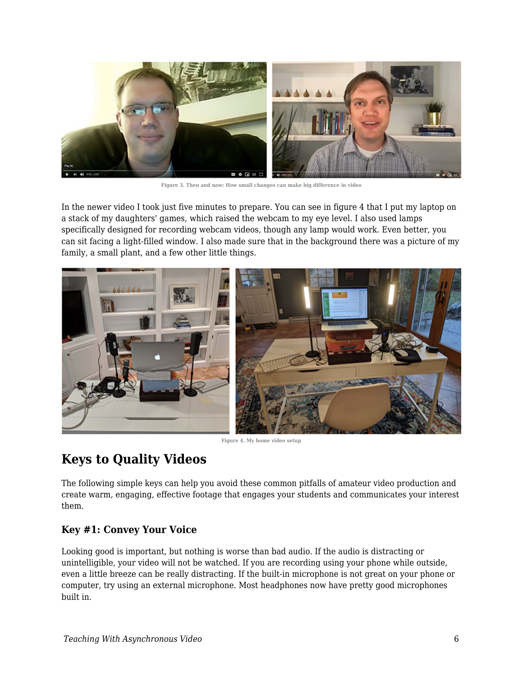

**Figure 3. Then and now: How small changes can make big difference in video**

In the newer video I took just five minutes to prepare. You can see in figure 4 that I put my laptop on a stack of my daughters' games, which raised the webcam to my eye level. I also used lamps specifically designed for recording webcam videos, though any lamp would work. Even better, you can sit facing a light-filled window. I also made sure that in the background there was a picture of my family, a small plant, and a few other little things.



**Figure 4. My home video setup**

# **Keys to Quality Videos**

The following simple keys can help you avoid these common pitfalls of amateur video production and create warm, engaging, effective footage that engages your students and communicates your interest them.

#### **Key #1: Convey Your Voice**

Looking good is important, but nothing is worse than bad audio. If the audio is distracting or unintelligible, your video will not be watched. If you are recording using your phone while outside, even a little breeze can be really distracting. If the built-in microphone is not great on your phone or computer, try using an external microphone. Most headphones now have pretty good microphones built in.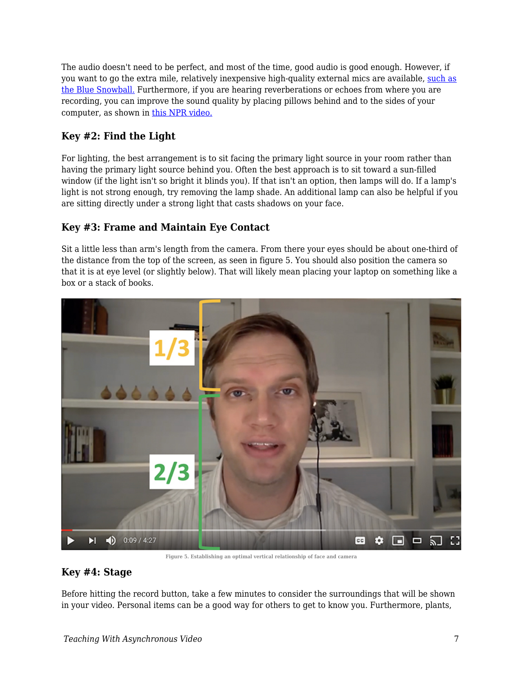The audio doesn't need to be perfect, and most of the time, good audio is good enough. However, if you want to go the extra mile, relatively inexpensive high-quality external mics are available, [such as](https://www.amazon.com/Blue-Snowball-Microphone-Gloss-Black/dp/B002OO18NS/ref=sr_1_3?dchild=1&keywords=snowball+mic&qid=1592082386&sr=8-3) [the Blue Snowball.](https://www.amazon.com/Blue-Snowball-Microphone-Gloss-Black/dp/B002OO18NS/ref=sr_1_3?dchild=1&keywords=snowball+mic&qid=1592082386&sr=8-3) Furthermore, if you are hearing reverberations or echoes from where you are recording, you can improve the sound quality by placing pillows behind and to the sides of your computer, as shown in [this NPR video.](https://youtu.be/sfgbtBBumjo?t=59)

#### **Key #2: Find the Light**

For lighting, the best arrangement is to sit facing the primary light source in your room rather than having the primary light source behind you. Often the best approach is to sit toward a sun-filled window (if the light isn't so bright it blinds you). If that isn't an option, then lamps will do. If a lamp's light is not strong enough, try removing the lamp shade. An additional lamp can also be helpful if you are sitting directly under a strong light that casts shadows on your face.

#### **Key #3: Frame and Maintain Eye Contact**

Sit a little less than arm's length from the camera. From there your eyes should be about one-third of the distance from the top of the screen, as seen in figure 5. You should also position the camera so that it is at eye level (or slightly below). That will likely mean placing your laptop on something like a box or a stack of books.



**Figure 5. Establishing an optimal vertical relationship of face and camera**

#### **Key #4: Stage**

Before hitting the record button, take a few minutes to consider the surroundings that will be shown in your video. Personal items can be a good way for others to get to know you. Furthermore, plants,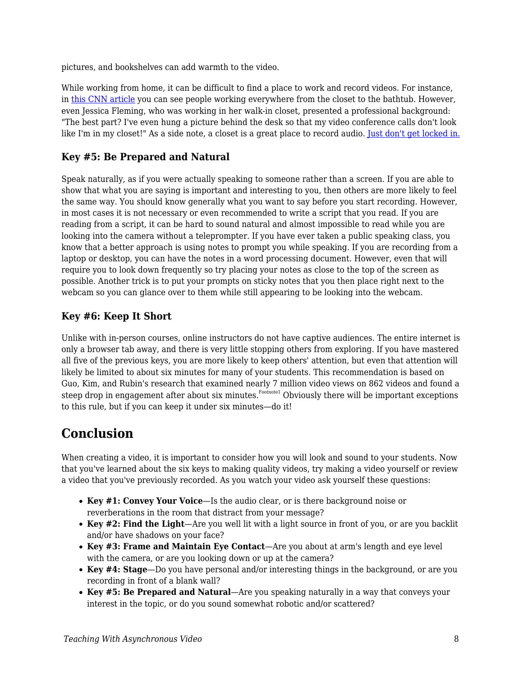pictures, and bookshelves can add warmth to the video.

While working from home, it can be difficult to find a place to work and record videos. For instance, in [this CNN article](https://www.cnn.com/2020/03/17/business/work-from-home-setups-coronavirus-trnd/index.html) you can see people working everywhere from the closet to the bathtub. However, even Jessica Fleming, who was working in her walk-in closet, presented a professional background: "The best part? I've even hung a picture behind the desk so that my video conference calls don't look like I'm in my closet!" As a side note, a closet is a great place to record audio. <u>[Just don't get locked in.](https://www.thisamericanlife.org/528/the-radio-drama-episode/prologue-2)</u>

#### **Key #5: Be Prepared and Natural**

Speak naturally, as if you were actually speaking to someone rather than a screen. If you are able to show that what you are saying is important and interesting to you, then others are more likely to feel the same way. You should know generally what you want to say before you start recording. However, in most cases it is not necessary or even recommended to write a script that you read. If you are reading from a script, it can be hard to sound natural and almost impossible to read while you are looking into the camera without a teleprompter. If you have ever taken a public speaking class, you know that a better approach is using notes to prompt you while speaking. If you are recording from a laptop or desktop, you can have the notes in a word processing document. However, even that will require you to look down frequently so try placing your notes as close to the top of the screen as possible. Another trick is to put your prompts on sticky notes that you then place right next to the webcam so you can glance over to them while still appearing to be looking into the webcam.

#### **Key #6: Keep It Short**

Unlike with in-person courses, online instructors do not have captive audiences. The entire internet is only a browser tab away, and there is very little stopping others from exploring. If you have mastered all five of the previous keys, you are more likely to keep others' attention, but even that attention will likely be limited to about six minutes for many of your students. This recommendation is based on Guo, Kim, and Rubin's research that examined nearly 7 million video views on 862 videos and found a steep drop in engagement after about six minutes. $^{\mathrm{Footnote1}}$  Obviously there will be important exceptions to this rule, but if you can keep it under six minutes—do it!

## **Conclusion**

When creating a video, it is important to consider how you will look and sound to your students. Now that you've learned about the six keys to making quality videos, try making a video yourself or review a video that you've previously recorded. As you watch your video ask yourself these questions:

- **Key #1: Convey Your Voice**—Is the audio clear, or is there background noise or reverberations in the room that distract from your message?
- **Key #2: Find the Light**—Are you well lit with a light source in front of you, or are you backlit and/or have shadows on your face?
- **Key #3: Frame and Maintain Eye Contact**—Are you about at arm's length and eye level with the camera, or are you looking down or up at the camera?
- **Key #4: Stage**—Do you have personal and/or interesting things in the background, or are you recording in front of a blank wall?
- **Key #5: Be Prepared and Natural**—Are you speaking naturally in a way that conveys your interest in the topic, or do you sound somewhat robotic and/or scattered?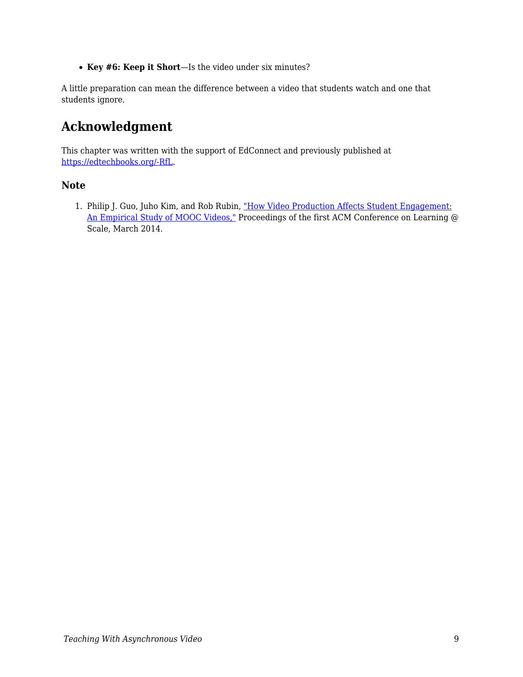**Key #6: Keep it Short**—Is the video under six minutes?

A little preparation can mean the difference between a video that students watch and one that students ignore.

# **Acknowledgment**

This chapter was written with the support of EdConnect and previously published at [https://edtechbooks.org/-RfL](https://er.educause.edu/blogs/2021/2/putting-your-best-self-forward-6-keys-for-filming-quality-videos).

#### **Note**

1. Philip J. Guo, Juho Kim, and Rob Rubin, ["How Video Production Affects Student Engagement:](https://www.researchgate.net/publication/262393281_How_video_production_affects_student_engagement_An_empirical_study_of_MOOC_videos) [An Empirical Study of MOOC Videos,"](https://www.researchgate.net/publication/262393281_How_video_production_affects_student_engagement_An_empirical_study_of_MOOC_videos) Proceedings of the first ACM Conference on Learning @ Scale, March 2014.